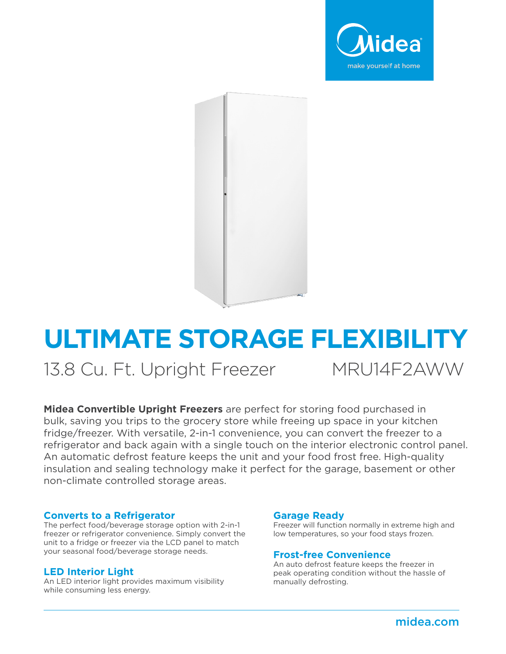



# **ULTIMATE STORAGE FLEXIBILITY**

13.8 Cu. Ft. Upright Freezer MRU14F2AWW

**Midea Convertible Upright Freezers** are perfect for storing food purchased in bulk, saving you trips to the grocery store while freeing up space in your kitchen fridge/freezer. With versatile, 2-in-1 convenience, you can convert the freezer to a refrigerator and back again with a single touch on the interior electronic control panel. An automatic defrost feature keeps the unit and your food frost free. High-quality insulation and sealing technology make it perfect for the garage, basement or other non-climate controlled storage areas.

#### **Converts to a Refrigerator**

The perfect food/beverage storage option with 2-in-1 freezer or refrigerator convenience. Simply convert the unit to a fridge or freezer via the LCD panel to match your seasonal food/beverage storage needs. **Frost-free Convenience** 

#### **LED Interior Light**

An LED interior light provides maximum visibility while consuming less energy.

#### **Garage Ready**

Freezer will function normally in extreme high and low temperatures, so your food stays frozen.

An auto defrost feature keeps the freezer in peak operating condition without the hassle of manually defrosting.

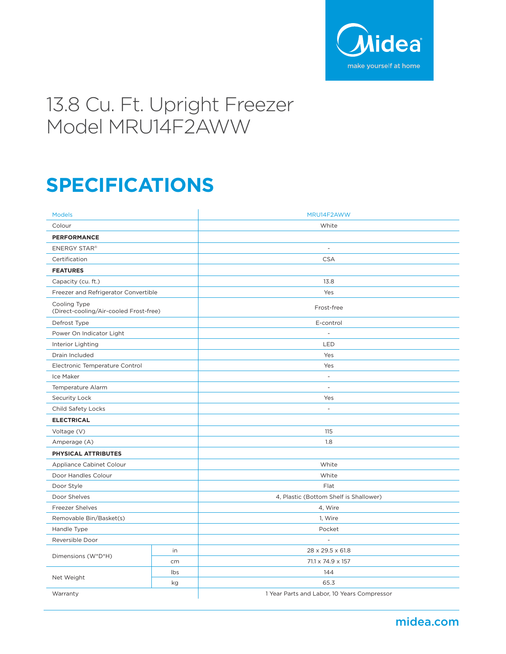

## 13.8 Cu. Ft. Upright Freezer Model MRU14F2AWW

## **SPECIFICATIONS**

| <b>Models</b>                                          |     | MRU14F2AWW                                  |
|--------------------------------------------------------|-----|---------------------------------------------|
| Colour                                                 |     | White                                       |
| <b>PERFORMANCE</b>                                     |     |                                             |
| <b>ENERGY STAR®</b>                                    |     | $\overline{\phantom{a}}$                    |
| Certification                                          |     | <b>CSA</b>                                  |
| <b>FEATURES</b>                                        |     |                                             |
| Capacity (cu. ft.)                                     |     | 13.8                                        |
| Freezer and Refrigerator Convertible                   |     | Yes                                         |
| Cooling Type<br>(Direct-cooling/Air-cooled Frost-free) |     | Frost-free                                  |
| Defrost Type                                           |     | E-control                                   |
| Power On Indicator Light                               |     | $\overline{a}$                              |
| Interior Lighting                                      |     | LED                                         |
| Drain Included                                         |     | Yes                                         |
| Electronic Temperature Control                         |     | Yes                                         |
| Ice Maker                                              |     | $\overline{\phantom{a}}$                    |
| Temperature Alarm                                      |     | $\overline{\phantom{a}}$                    |
| Security Lock                                          |     | Yes                                         |
| Child Safety Locks                                     |     | $\overline{\phantom{a}}$                    |
| <b>ELECTRICAL</b>                                      |     |                                             |
| Voltage (V)                                            |     | 115                                         |
| Amperage (A)                                           |     | 1.8                                         |
| PHYSICAL ATTRIBUTES                                    |     |                                             |
| Appliance Cabinet Colour                               |     | White                                       |
| Door Handles Colour                                    |     | White                                       |
| Door Style                                             |     | Flat                                        |
| Door Shelves                                           |     | 4, Plastic (Bottom Shelf is Shallower)      |
| <b>Freezer Shelves</b>                                 |     | 4, Wire                                     |
| Removable Bin/Basket(s)                                |     | 1, Wire                                     |
| Handle Type                                            |     | Pocket                                      |
| Reversible Door                                        |     | $\overline{\phantom{a}}$                    |
| Dimensions (W*D*H)                                     | in  | 28 x 29.5 x 61.8                            |
|                                                        | cm  | 71.1 x 74.9 x 157                           |
| Net Weight                                             | Ibs | 144                                         |
|                                                        | kg  | 65.3                                        |
| Warranty                                               |     | 1 Year Parts and Labor, 10 Years Compressor |